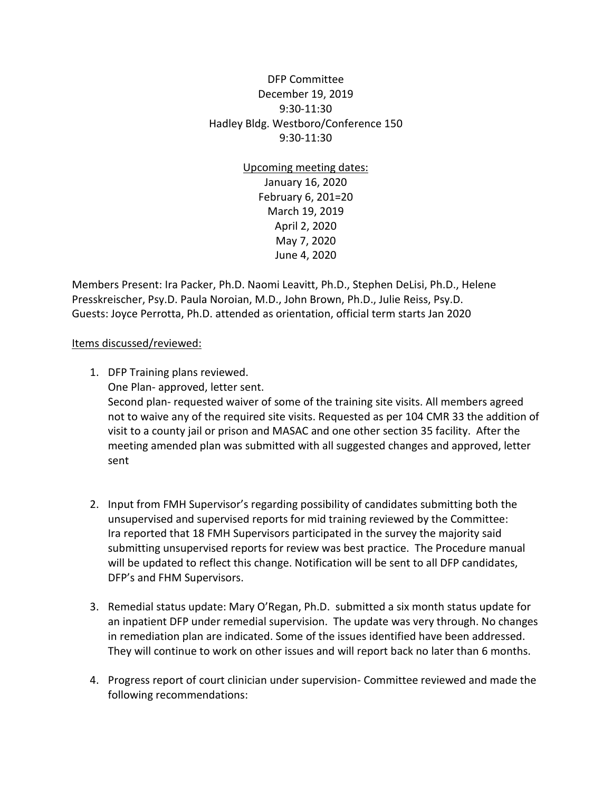DFP Committee December 19, 2019 9:30-11:30 Hadley Bldg. Westboro/Conference 150 9:30-11:30

> Upcoming meeting dates: January 16, 2020 February 6, 201=20 March 19, 2019 April 2, 2020 May 7, 2020 June 4, 2020

Members Present: Ira Packer, Ph.D. Naomi Leavitt, Ph.D., Stephen DeLisi, Ph.D., Helene Presskreischer, Psy.D. Paula Noroian, M.D., John Brown, Ph.D., Julie Reiss, Psy.D. Guests: Joyce Perrotta, Ph.D. attended as orientation, official term starts Jan 2020

## Items discussed/reviewed:

- 1. DFP Training plans reviewed. One Plan- approved, letter sent. Second plan- requested waiver of some of the training site visits. All members agreed not to waive any of the required site visits. Requested as per 104 CMR 33 the addition of visit to a county jail or prison and MASAC and one other section 35 facility. After the meeting amended plan was submitted with all suggested changes and approved, letter sent
- 2. Input from FMH Supervisor's regarding possibility of candidates submitting both the unsupervised and supervised reports for mid training reviewed by the Committee: Ira reported that 18 FMH Supervisors participated in the survey the majority said submitting unsupervised reports for review was best practice. The Procedure manual will be updated to reflect this change. Notification will be sent to all DFP candidates, DFP's and FHM Supervisors.
- 3. Remedial status update: Mary O'Regan, Ph.D. submitted a six month status update for an inpatient DFP under remedial supervision. The update was very through. No changes in remediation plan are indicated. Some of the issues identified have been addressed. They will continue to work on other issues and will report back no later than 6 months.
- 4. Progress report of court clinician under supervision- Committee reviewed and made the following recommendations: